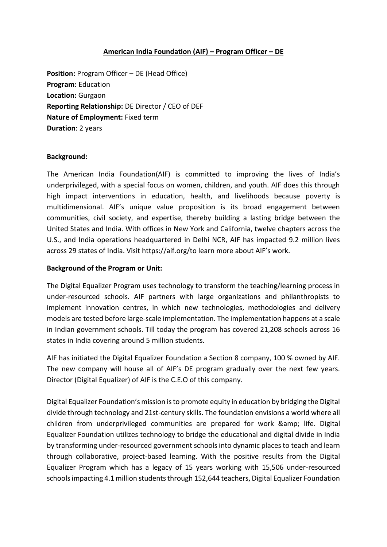### **American India Foundation (AIF) – Program Officer – DE**

**Position:** Program Officer – DE (Head Office) **Program:** Education **Location:** Gurgaon **Reporting Relationship:** DE Director / CEO of DEF **Nature of Employment:** Fixed term **Duration**: 2 years

### **Background:**

The American India Foundation(AIF) is committed to improving the lives of India's underprivileged, with a special focus on women, children, and youth. AIF does this through high impact interventions in education, health, and livelihoods because poverty is multidimensional. AIF's unique value proposition is its broad engagement between communities, civil society, and expertise, thereby building a lasting bridge between the United States and India. With offices in New York and California, twelve chapters across the U.S., and India operations headquartered in Delhi NCR, AIF has impacted 9.2 million lives across 29 states of India. Visit https://aif.org/to learn more about AIF's work.

#### **Background of the Program or Unit:**

The Digital Equalizer Program uses technology to transform the teaching/learning process in under-resourced schools. AIF partners with large organizations and philanthropists to implement innovation centres, in which new technologies, methodologies and delivery models are tested before large-scale implementation. The implementation happens at a scale in Indian government schools. Till today the program has covered 21,208 schools across 16 states in India covering around 5 million students.

AIF has initiated the Digital Equalizer Foundation a Section 8 company, 100 % owned by AIF. The new company will house all of AIF's DE program gradually over the next few years. Director (Digital Equalizer) of AIF is the C.E.O of this company.

Digital Equalizer Foundation's mission is to promote equity in education by bridging the Digital divide through technology and 21st-century skills. The foundation envisions a world where all children from underprivileged communities are prepared for work & amp; life. Digital Equalizer Foundation utilizes technology to bridge the educational and digital divide in India by transforming under-resourced government schools into dynamic places to teach and learn through collaborative, project-based learning. With the positive results from the Digital Equalizer Program which has a legacy of 15 years working with 15,506 under-resourced schools impacting 4.1 million students through 152,644 teachers, Digital Equalizer Foundation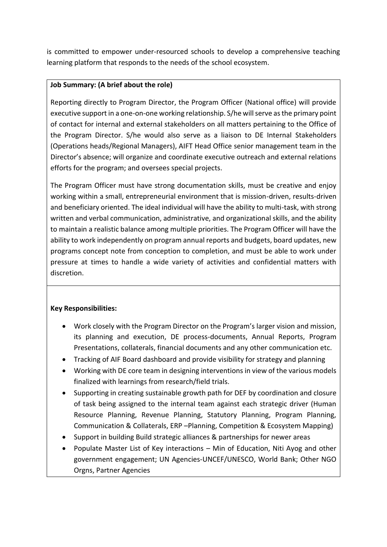is committed to empower under-resourced schools to develop a comprehensive teaching learning platform that responds to the needs of the school ecosystem.

## **Job Summary: (A brief about the role)**

Reporting directly to Program Director, the Program Officer (National office) will provide executive support in a one-on-one working relationship. S/he will serve as the primary point of contact for internal and external stakeholders on all matters pertaining to the Office of the Program Director. S/he would also serve as a liaison to DE Internal Stakeholders (Operations heads/Regional Managers), AIFT Head Office senior management team in the Director's absence; will organize and coordinate executive outreach and external relations efforts for the program; and oversees special projects.

The Program Officer must have strong documentation skills, must be creative and enjoy working within a small, entrepreneurial environment that is mission-driven, results-driven and beneficiary oriented. The ideal individual will have the ability to multi-task, with strong written and verbal communication, administrative, and organizational skills, and the ability to maintain a realistic balance among multiple priorities. The Program Officer will have the ability to work independently on program annual reports and budgets, board updates, new programs concept note from conception to completion, and must be able to work under pressure at times to handle a wide variety of activities and confidential matters with discretion.

## **Key Responsibilities:**

- Work closely with the Program Director on the Program's larger vision and mission, its planning and execution, DE process-documents, Annual Reports, Program Presentations, collaterals, financial documents and any other communication etc.
- Tracking of AIF Board dashboard and provide visibility for strategy and planning
- Working with DE core team in designing interventions in view of the various models finalized with learnings from research/field trials.
- Supporting in creating sustainable growth path for DEF by coordination and closure of task being assigned to the internal team against each strategic driver (Human Resource Planning, Revenue Planning, Statutory Planning, Program Planning, Communication & Collaterals, ERP –Planning, Competition & Ecosystem Mapping)
- Support in building Build strategic alliances & partnerships for newer areas
- Populate Master List of Key interactions Min of Education, Niti Ayog and other government engagement; UN Agencies-UNCEF/UNESCO, World Bank; Other NGO Orgns, Partner Agencies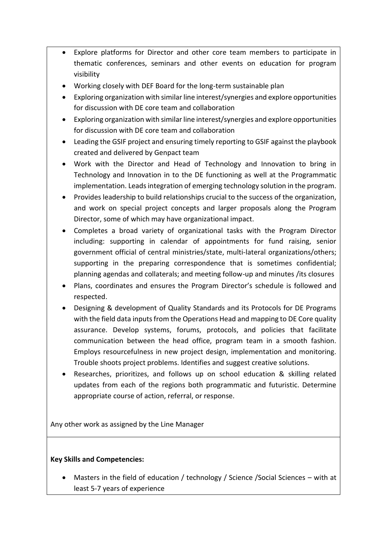- Explore platforms for Director and other core team members to participate in thematic conferences, seminars and other events on education for program visibility
- Working closely with DEF Board for the long-term sustainable plan
- Exploring organization with similar line interest/synergies and explore opportunities for discussion with DE core team and collaboration
- Exploring organization with similar line interest/synergies and explore opportunities for discussion with DE core team and collaboration
- Leading the GSIF project and ensuring timely reporting to GSIF against the playbook created and delivered by Genpact team
- Work with the Director and Head of Technology and Innovation to bring in Technology and Innovation in to the DE functioning as well at the Programmatic implementation. Leads integration of emerging technology solution in the program.
- Provides leadership to build relationships crucial to the success of the organization, and work on special project concepts and larger proposals along the Program Director, some of which may have organizational impact.
- Completes a broad variety of organizational tasks with the Program Director including: supporting in calendar of appointments for fund raising, senior government official of central ministries/state, multi-lateral organizations/others; supporting in the preparing correspondence that is sometimes confidential; planning agendas and collaterals; and meeting follow-up and minutes /its closures
- Plans, coordinates and ensures the Program Director's schedule is followed and respected.
- Designing & development of Quality Standards and its Protocols for DE Programs with the field data inputs from the Operations Head and mapping to DE Core quality assurance. Develop systems, forums, protocols, and policies that facilitate communication between the head office, program team in a smooth fashion. Employs resourcefulness in new project design, implementation and monitoring. Trouble shoots project problems. Identifies and suggest creative solutions.
- Researches, prioritizes, and follows up on school education & skilling related updates from each of the regions both programmatic and futuristic. Determine appropriate course of action, referral, or response.

Any other work as assigned by the Line Manager

## **Key Skills and Competencies:**

• Masters in the field of education / technology / Science /Social Sciences – with at least 5-7 years of experience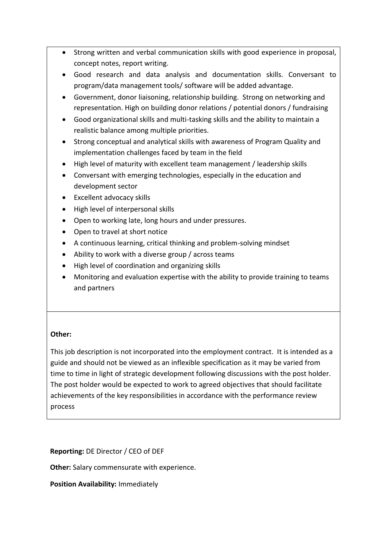- Strong written and verbal communication skills with good experience in proposal, concept notes, report writing.
- Good research and data analysis and documentation skills. Conversant to program/data management tools/ software will be added advantage.
- Government, donor liaisoning, relationship building. Strong on networking and representation. High on building donor relations / potential donors / fundraising
- Good organizational skills and multi-tasking skills and the ability to maintain a realistic balance among multiple priorities.
- Strong conceptual and analytical skills with awareness of Program Quality and implementation challenges faced by team in the field
- High level of maturity with excellent team management / leadership skills
- Conversant with emerging technologies, especially in the education and development sector
- Excellent advocacy skills
- High level of interpersonal skills
- Open to working late, long hours and under pressures.
- Open to travel at short notice
- A continuous learning, critical thinking and problem-solving mindset
- Ability to work with a diverse group / across teams
- High level of coordination and organizing skills
- Monitoring and evaluation expertise with the ability to provide training to teams and partners

# **Other:**

This job description is not incorporated into the employment contract. It is intended as a guide and should not be viewed as an inflexible specification as it may be varied from time to time in light of strategic development following discussions with the post holder. The post holder would be expected to work to agreed objectives that should facilitate achievements of the key responsibilities in accordance with the performance review process

**Reporting:** DE Director / CEO of DEF

**Other:** Salary commensurate with experience.

**Position Availability:** Immediately